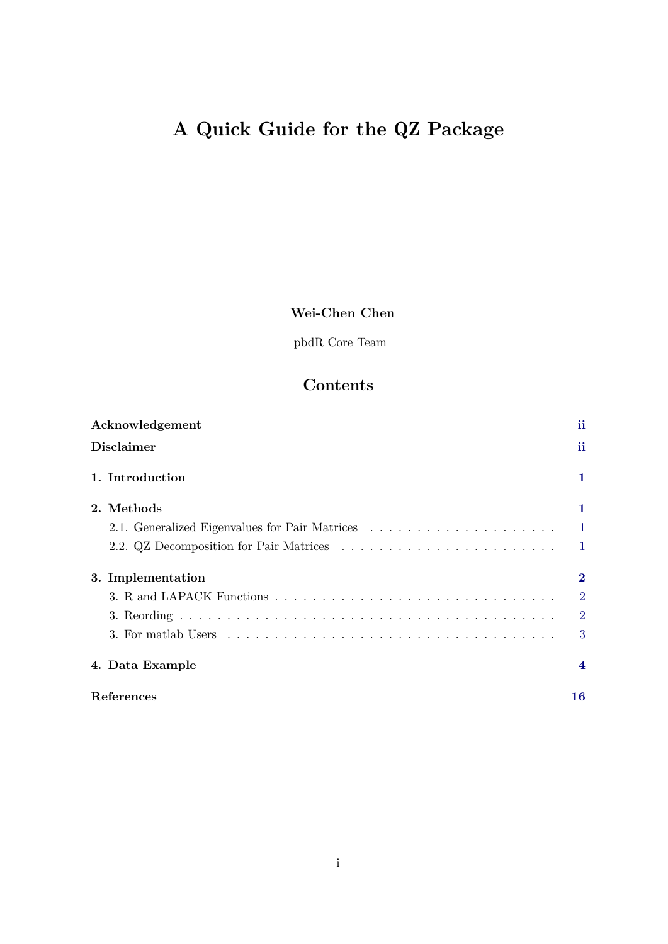# <span id="page-0-0"></span>**A Quick Guide for the** QZ **Package**

# **Wei-Chen Chen**

pbdR Core Team

# **Contents**

| Acknowledgement   | ii             |
|-------------------|----------------|
| <b>Disclaimer</b> | ii             |
| 1. Introduction   | 1              |
| 2. Methods        | 1              |
|                   | $\mathbf{1}$   |
|                   | $\mathbf{1}$   |
| 3. Implementation | $\bf{2}$       |
|                   | $\overline{2}$ |
|                   | $\overline{2}$ |
|                   | 3              |
| 4. Data Example   | 4              |
| References        | 16             |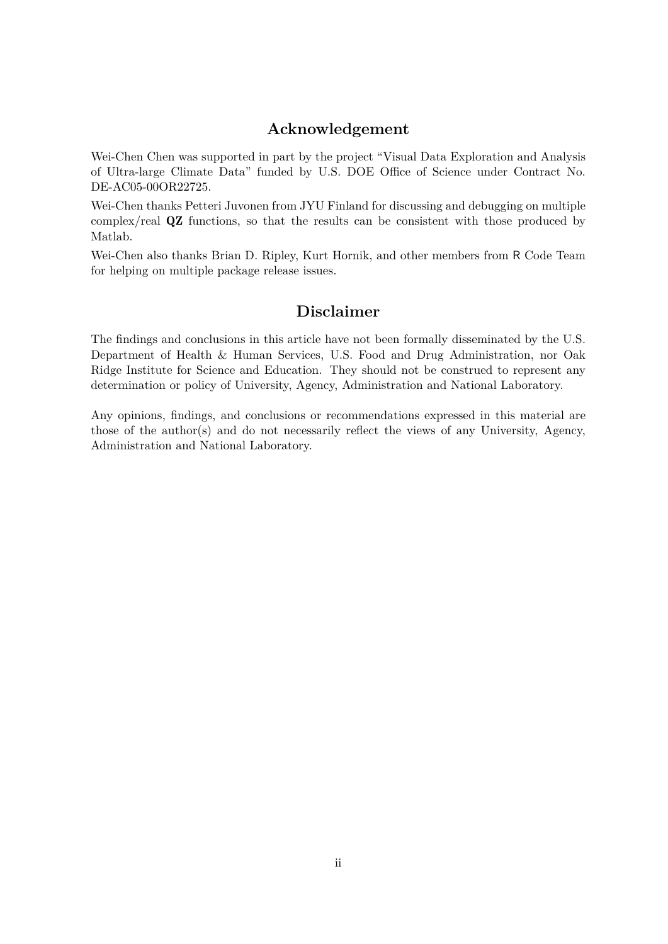### **Acknowledgement**

Wei-Chen Chen was supported in part by the project "Visual Data Exploration and Analysis of Ultra-large Climate Data" funded by U.S. DOE Office of Science under Contract No. DE-AC05-00OR22725.

Wei-Chen thanks Petteri Juvonen from JYU Finland for discussing and debugging on multiple complex/real QZ functions, so that the results can be consistent with those produced by Matlab.

Wei-Chen also thanks Brian D. Ripley, Kurt Hornik, and other members from R Code Team for helping on multiple package release issues.

### **Disclaimer**

The findings and conclusions in this article have not been formally disseminated by the U.S. Department of Health & Human Services, U.S. Food and Drug Administration, nor Oak Ridge Institute for Science and Education. They should not be construed to represent any determination or policy of University, Agency, Administration and National Laboratory.

Any opinions, findings, and conclusions or recommendations expressed in this material are those of the author(s) and do not necessarily reflect the views of any University, Agency, Administration and National Laboratory.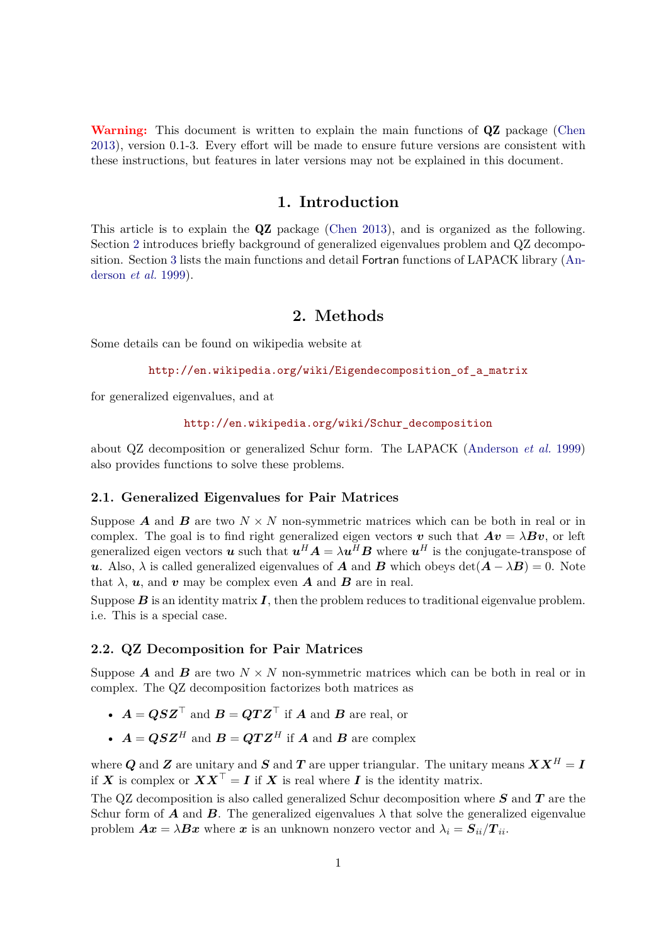**Warning:** This document is written to explain the main functions of QZ package [\(Chen](#page-17-1) [2013\)](#page-17-1), version 0.1-3. Every effort will be made to ensure future versions are consistent with these instructions, but features in later versions may not be explained in this document.

### **1. Introduction**

<span id="page-2-0"></span>This article is to explain the QZ package [\(Chen 2013\)](#page-17-1), and is organized as the following. Section [2](#page-2-1) introduces briefly background of generalized eigenvalues problem and QZ decomposition. Section [3](#page-3-0) lists the main functions and detail Fortran functions of LAPACK library [\(An](#page-17-2)[derson](#page-17-2) *et al.* [1999\)](#page-17-2).

### **2. Methods**

<span id="page-2-1"></span>Some details can be found on wikipedia website at

```
http://en.wikipedia.org/wiki/Eigendecomposition_of_a_matrix
```
for generalized eigenvalues, and at

[http://en.wikipedia.org/wiki/Schur\\_decomposition](http://en.wikipedia.org/wiki/Schur_decomposition)

about QZ decomposition or generalized Schur form. The LAPACK [\(Anderson](#page-17-2) *et al.* [1999\)](#page-17-2) also provides functions to solve these problems.

#### <span id="page-2-2"></span>**2.1. Generalized Eigenvalues for Pair Matrices**

Suppose **A** and **B** are two  $N \times N$  non-symmetric matrices which can be both in real or in complex. The goal is to find right generalized eigen vectors **v** such that  $Av = \lambda Bv$ , or left generalized eigen vectors *u* such that  $u^H A = \lambda u^H B$  where  $u^H$  is the conjugate-transpose of *u*. Also,  $\lambda$  is called generalized eigenvalues of *A* and *B* which obeys  $det(A - \lambda B) = 0$ . Note that  $\lambda$ ,  $u$ , and  $v$  may be complex even *A* and *B* are in real.

Suppose  $B$  is an identity matrix  $I$ , then the problem reduces to traditional eigenvalue problem. i.e. This is a special case.

#### <span id="page-2-3"></span>**2.2. QZ Decomposition for Pair Matrices**

Suppose **A** and **B** are two  $N \times N$  non-symmetric matrices which can be both in real or in complex. The QZ decomposition factorizes both matrices as

- $A = QSZ^\top$  and  $B = QTZ^\top$  if *A* and *B* are real, or
- $A = QSZ^H$  and  $B = QTZ^H$  if *A* and *B* are complex

where *Q* and *Z* are unitary and *S* and *T* are upper triangular. The unitary means  $\boldsymbol{X} \boldsymbol{X}^H = \boldsymbol{I}$ if *X* is complex or  $\boldsymbol{X}\boldsymbol{X}^{\top} = \boldsymbol{I}$  if *X* is real where *I* is the identity matrix.

The QZ decomposition is also called generalized Schur decomposition where *S* and *T* are the Schur form of *A* and *B*. The generalized eigenvalues  $\lambda$  that solve the generalized eigenvalue problem  $Ax = \lambda Bx$  where x is an unknown nonzero vector and  $\lambda_i = S_{ii}/T_{ii}$ .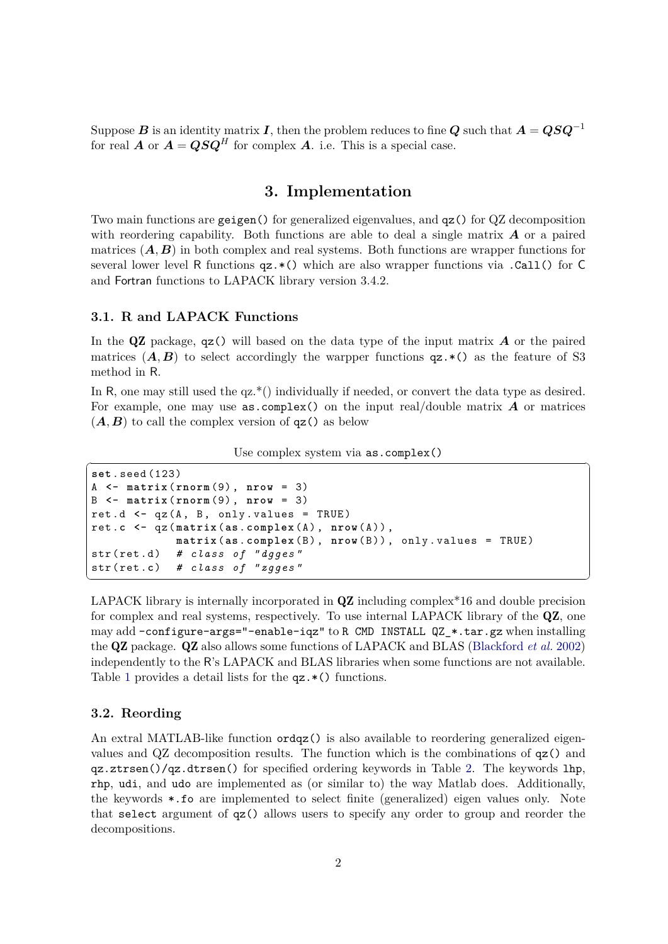Suppose *B* is an identity matrix *I*, then the problem reduces to fine  $Q$  such that  $A = QSQ^{-1}$ for real *A* or  $A = QSQ^H$  for complex *A*. i.e. This is a special case.

### **3. Implementation**

<span id="page-3-0"></span>Two main functions are geigen() for generalized eigenvalues, and qz() for QZ decomposition with reordering capability. Both functions are able to deal a single matrix *A* or a paired matrices  $(A, B)$  in both complex and real systems. Both functions are wrapper functions for several lower level R functions  $qz.*()$  which are also wrapper functions via .Call() for C and Fortran functions to LAPACK library version 3.4.2.

#### <span id="page-3-1"></span>**3.1. R and LAPACK Functions**

In the QZ package, qz() will based on the data type of the input matrix *A* or the paired matrices  $(A, B)$  to select accordingly the warpper functions  $qz.*($ ) as the feature of S3 method in R.

In R, one may still used the  $qz^*()$  individually if needed, or convert the data type as desired. For example, one may use as.complex() on the input real/double matrix *A* or matrices  $(A, B)$  to call the complex version of  $qz()$  as below

| Jse complex system via <b>as.complex()</b> |  |
|--------------------------------------------|--|
|                                            |  |

```
set . seed (123)
A <- matrix ( rnorm (9) , nrow = 3)
B <- matrix ( rnorm (9) , nrow = 3)
ret.d <- qz(A, B, only. values = TRUE)
ret .c <- qz ( matrix (as. complex ( A ) , nrow ( A ) ) ,
                     matrix (as. complex ( B ) , nrow ( B ) ) , only . values = TRUE )
str ( ret . d ) # class of "dgges"
str ( ret .c) # class of "zgges"
\sqrt{2\pi} \sqrt{2\pi} \sqrt{2\pi} \sqrt{2\pi} \sqrt{2\pi} \sqrt{2\pi} \sqrt{2\pi} \sqrt{2\pi} \sqrt{2\pi} \sqrt{2\pi} \sqrt{2\pi} \sqrt{2\pi} \sqrt{2\pi} \sqrt{2\pi} \sqrt{2\pi} \sqrt{2\pi} \sqrt{2\pi} \sqrt{2\pi} \sqrt{2\pi} \sqrt{2\pi} \sqrt{2\pi} \sqrt{2\pi}
```
LAPACK library is internally incorporated in **QZ** including complex<sup>\*</sup>16 and double precision for complex and real systems, respectively. To use internal LAPACK library of the QZ, one may add –configure-args="–enable-iqz" to R CMD INSTALL QZ\_\*.tar.gz when installing the QZ package. QZ also allows some functions of LAPACK and BLAS [\(Blackford](#page-17-3) *et al.* [2002\)](#page-17-3) independently to the R's LAPACK and BLAS libraries when some functions are not available. Table [1](#page-4-1) provides a detail lists for the  $qz.*$  () functions.

#### <span id="page-3-2"></span>**3.2. Reording**

An extral MATLAB-like function ordqz() is also available to reordering generalized eigenvalues and QZ decomposition results. The function which is the combinations of qz() and qz.ztrsen()/qz.dtrsen() for specified ordering keywords in Table [2.](#page-4-2) The keywords lhp, rhp, udi, and udo are implemented as (or similar to) the way Matlab does. Additionally, the keywords \*.fo are implemented to select finite (generalized) eigen values only. Note that select argument of qz() allows users to specify any order to group and reorder the decompositions.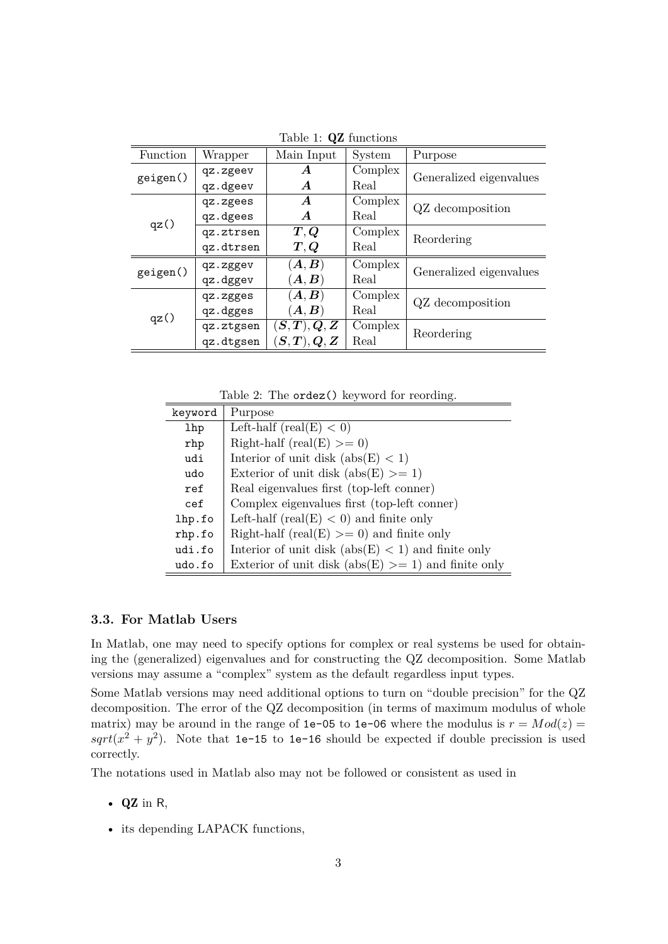| Function | Wrapper   | Main Input                        | <b>System</b> | Purpose                 |
|----------|-----------|-----------------------------------|---------------|-------------------------|
| geigen() | qz.zgeev  | A                                 | Complex       | Generalized eigenvalues |
|          | qz.dgeev  | $\bm{A}$                          | Real          |                         |
|          | qz.zgees  | $\bm{A}$                          | Complex       | QZ decomposition        |
|          | qz.dgees  | $\bm{A}$                          | Real          |                         |
| qz()     | qz.ztrsen | $\bm{T},\bm{Q}$                   | Complex       | Reordering              |
|          | qz.dtrsen | $\bm{T},\bm{Q}$                   | Real          |                         |
| geigen() | qz.zggev  | $(\boldsymbol{A},\boldsymbol{B})$ | Complex       | Generalized eigenvalues |
|          | qz.dggev  | $(\boldsymbol{A},\boldsymbol{B})$ | Real          |                         |
|          | qz.zgges  | $(\bm{A},\bm{B})$                 | Complex       | QZ decomposition        |
| qz()     | qz.dgges  | $(\bm{A},\bm{B})$                 | Real          |                         |
|          | qz.ztgsen | $(\bm{S},\bm{T}),\bm{Q},\bm{Z}$   | Complex       | Reordering              |
|          | qz.dtgsen | $(\bm{S},\bm{T}),\bm{Q},\bm{Z}$   | Real          |                         |

<span id="page-4-1"></span>Table 1: QZ functions

<span id="page-4-2"></span>Table 2: The ordez() keyword for reording.

| keyword    | Purpose                                                |
|------------|--------------------------------------------------------|
| <b>lhp</b> | Left-half (real(E) $<$ 0)                              |
| rhp        | Right-half (real(E) $>= 0$ )                           |
| udi        | Interior of unit disk $(abs(E) < 1)$                   |
| udo        | Exterior of unit disk $(abs(E) > = 1)$                 |
| ref        | Real eigenvalues first (top-left conner)               |
| cef        | Complex eigenvalues first (top-left conner)            |
| lhp.fo     | Left-half (real(E) $<$ 0) and finite only              |
| rhp.fo     | Right-half (real(E) $>= 0$ ) and finite only           |
| udi.fo     | Interior of unit disk $(abs(E) < 1)$ and finite only   |
| udo.fo     | Exterior of unit disk (abs(E) $>= 1$ ) and finite only |

#### <span id="page-4-0"></span>**3.3. For Matlab Users**

In Matlab, one may need to specify options for complex or real systems be used for obtaining the (generalized) eigenvalues and for constructing the QZ decomposition. Some Matlab versions may assume a "complex" system as the default regardless input types.

Some Matlab versions may need additional options to turn on "double precision" for the QZ decomposition. The error of the QZ decomposition (in terms of maximum modulus of whole matrix) may be around in the range of 1e-05 to 1e-06 where the modulus is  $r = Mod(z)$  $sqrt(x^2 + y^2)$ . Note that 1e-15 to 1e-16 should be expected if double precission is used correctly.

The notations used in Matlab also may not be followed or consistent as used in

- $\bullet$  QZ in R,
- its depending LAPACK functions,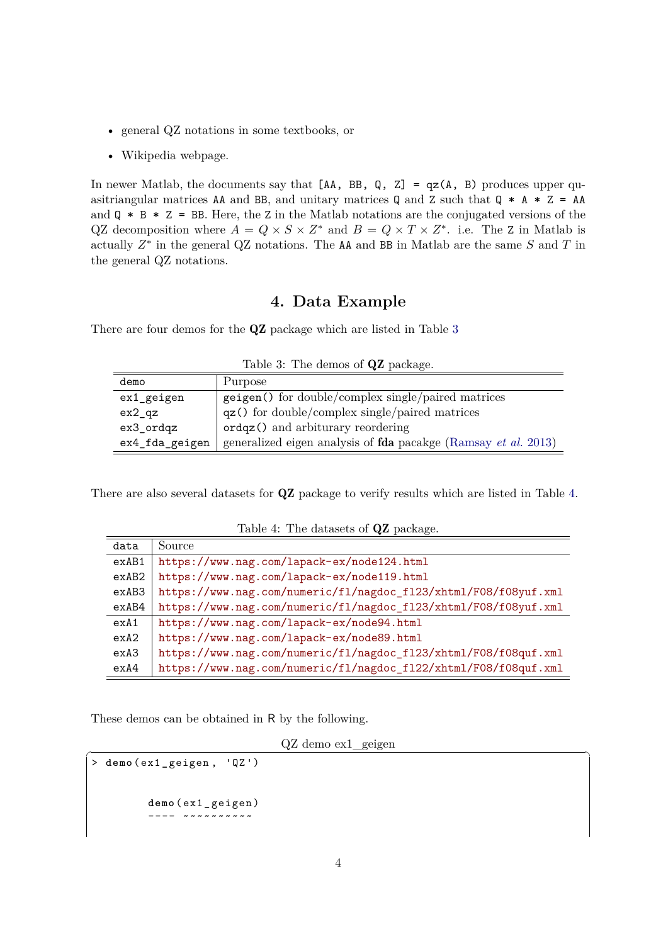- general QZ notations in some textbooks, or
- Wikipedia webpage.

In newer Matlab, the documents say that  $[AA, BB, Q, Z] = qz(A, B)$  produces upper quasitriangular matrices AA and BB, and unitary matrices Q and Z such that  $Q * A * Z = AA$ and  $Q * B * Z = BB$ . Here, the Z in the Matlab notations are the conjugated versions of the QZ decomposition where  $A = Q \times S \times Z^*$  and  $B = Q \times T \times Z^*$ . i.e. The Z in Matlab is actually  $Z^*$  in the general QZ notations. The AA and BB in Matlab are the same  $S$  and  $T$  in the general QZ notations.

## **4. Data Example**

<span id="page-5-0"></span>There are four demos for the QZ package which are listed in Table [3](#page-5-1)

|                | Lable 5. The definos of QL package.                                          |
|----------------|------------------------------------------------------------------------------|
| demo           | Purpose                                                                      |
| ex1_geigen     | geigen() for double/complex single/paired matrices                           |
| $ex2_qz$       | $qz()$ for double/complex single/paired matrices                             |
| ex3_ordqz      | $\texttt{ordqz}()$ and arbiturary reordering                                 |
| ex4_fda_geigen | generalized eigen analysis of <b>fda</b> pacakge (Ramsay <i>et al.</i> 2013) |

<span id="page-5-1"></span>Table 3: The demos of **QZ** package

There are also several datasets for QZ package to verify results which are listed in Table [4.](#page-5-2)

| data  | Source                                                          |
|-------|-----------------------------------------------------------------|
| exAB1 | https://www.nag.com/lapack-ex/node124.html                      |
| exAB2 | https://www.nag.com/lapack-ex/node119.html                      |
| exAB3 | https://www.nag.com/numeric/fl/nagdoc_fl23/xhtml/F08/f08yuf.xml |
| exAB4 | https://www.nag.com/numeric/fl/nagdoc_fl23/xhtml/F08/f08yuf.xml |
| exA1  | https://www.nag.com/lapack-ex/node94.html                       |
| exA2  | https://www.nag.com/lapack-ex/node89.html                       |
| exA3  | https://www.nag.com/numeric/f1/nagdoc_f123/xhtml/F08/f08quf.xml |
| exA4  | https://www.nag.com/numeric/f1/nagdoc_f122/xhtml/F08/f08quf.xml |

<span id="page-5-2"></span>Table 4: The datasets of QZ package.

These demos can be obtained in R by the following.

 $QZ$  demo ex1 geigen

```
> demo ( ex1_ geigen , ' QZ ')
          demo ( ex1_ geigen )
              ---- ~~~~~~~~~~
```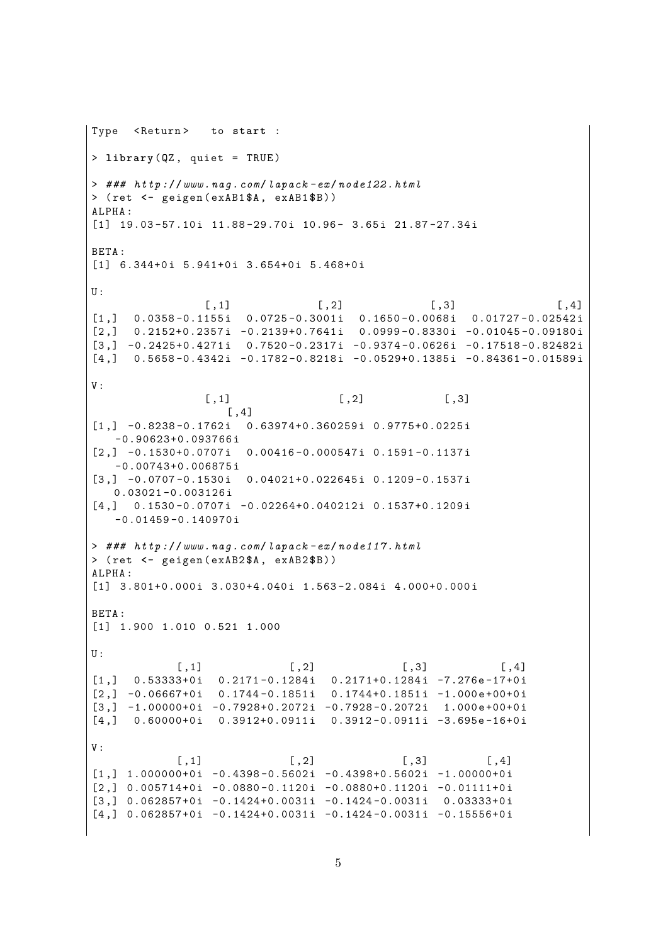```
Type <Return>
                to start :
> library (QZ, quiet = TRUE)
> ### http://www.nag.com/lapack-ex/node122.html
> (ret <- geigen(exAB1$A, exAB1$B))
ALPHA:
[1] 19.03-57.10i 11.88-29.70i 10.96- 3.65i 21.87-27.34i
RETA .
[1] 6.344+0i 5.941+0i 3.654+0i 5.468+0i
U:[, 1]
                                   [, 2]
                                                    [0,3][0.4][1,]0.0358 - 0.1155i 0.0725 - 0.3001i 0.1650 - 0.0068i 0.01727 - 0.02542i0.2152+0.2357i -0.2139+0.7641i -0.0999-0.8330i -0.01045-0.09180i[2,][3,] -0.2425+0.4271i 0.7520-0.2317i -0.9374-0.0626i -0.17518-0.82482i
     0.5658 - 0.4342i - 0.1782 - 0.8218i - 0.0529 + 0.1385i - 0.84361 - 0.01589i[4,]V:[, 1][, 2][, 3]\lceil .4 \rceil[1,] -0.8238 -0.1762i 0.63974+0.360259i 0.9775+0.0225i
   -0.90623+0.093766i[2,] -0.1530+0.0707i 0.00416-0.000547i 0.1591-0.1137i
   -0.00743+0.006875i[3,] -0.0707 -0.1530i 0.04021 +0.022645i 0.1209 -0.1537i0.03021 - 0.003126i\begin{bmatrix} 4 \\ 1 \end{bmatrix} 0.1530-0.0707i -0.02264+0.040212i 0.1537+0.1209i
   -0.01459 - 0.140970i> ### http://www.naq.com/lapack-ex/noded17.html> (ret <- geigen (exAB2$A, exAB2$B))
ALPHA:
[1] 3.801+0.000i 3.030+4.040i 1.563-2.084i 4.000+0.000i
BETA:
[1] 1.900 1.010 0.521 1.000
U:[, 1][, 2][, 3]
                                                               [,4]0.2171 - 0.1284i 0.2171 + 0.1284i -7.276e - 17 + 0i0.53333+0i[1,][2,] -0.06667+0i 0.1744-0.1851i 0.1744+0.1851i -1.000e+00+0i
[3,] -1.00000+0i -0.7928+0.2072i -0.7928-0.2072i 1.000e+00+0i\lceil 4 \cdot \rceil0.60000+0i 0.3912+0.0911i 0.3912-0.0911i -3.695e-16+0i
V:\lceil .1 \rceil[, 2]\lceil .3 \rceil\lceil .4 \rceil[1,] 1.000000+0i -0.4398-0.5602i -0.4398+0.5602i -1.00000+0i
[2,] 0.005714+0i -0.0880-0.1120i -0.0880+0.1120i -0.01111+0i
[3,] 0.062857+0i -0.1424+0.0031i -0.1424-0.0031i 0.03333+0i
[4,] 0.062857+0i -0.1424+0.0031i -0.1424-0.0031i -0.15556+0i
```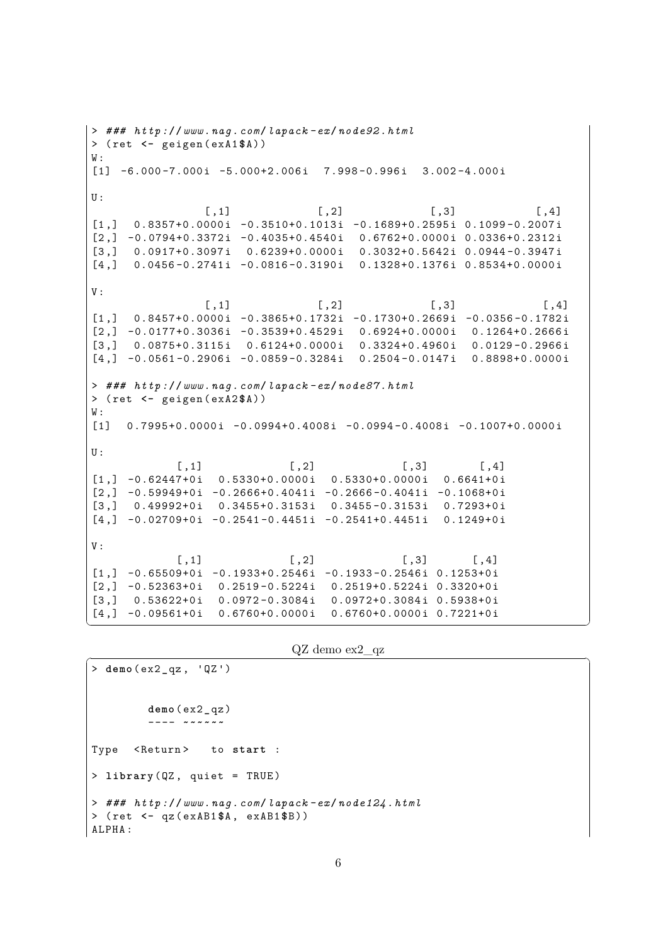```
> ### http://www.nag.com/lapack -ex/ node92 .html
> ( ret <- geigen ( exA1 $A ) )
W:[1] -6.000-7.000i -5.000+2.006i 7.998-0.996i 3.002-4.000i
U:[ , 1] [ , 2] [ , 3] [ , 4][1,] 0.8357+0.0000i -0.3510+0.1013i -0.1689+0.2595i 0.1099-0.2007i
[2,] -0.0794+0.3372i -0.4035+0.4540i 0.6762+0.0000i 0.0336+0.2312i[3,] 0.0917+0.3097i 0.6239+0.0000i 0.3032+0.5642i 0.0944-0.3947i
\begin{bmatrix} 4 \\ 1 \end{bmatrix} 0.0456-0.2741i -0.0816-0.3190i 0.1328+0.1376i 0.8534+0.0000i
V :
                [ ,1] [ ,2] [ ,3] [ ,4][1,] 0.8457+0.0000i -0.3865+0.1732i -0.1730+0.2669i -0.0356-0.1782i
[2,] -0.0177+0.3036i -0.3539+0.4529i 0.6924+0.0000i 0.1264+0.2666i[3,] 0.0875+0.3115i 0.6124+0.0000i 0.3324+0.4960i 0.0129-0.2966i
[4,] -0.0561 -0.2906i -0.0859 -0.3284i 0.2504 -0.0147i 0.8898 +0.0000i> ### http://www.nag.com/lapack -ex/ node87 .html
> ( ret <- geigen ( exA2 $A ) )
W:[1] 0.7995+0.0000i -0.0994+0.4008i -0.0994-0.4008i -0.1007+0.0000i
U:[ , 1] [ , 2] [ , 3] [ , 4][1,] -0.62447+0i 0.5330+0.0000i 0.5330+0.0000i 0.6641+0i
[2,] -0.59949+0i -0.2666+0.4041i -0.2666-0.4041i -0.1068+0i[3,] 0.49992+0i 0.3455+0.3153i 0.3455-0.3153i 0.7293+0i
\begin{bmatrix} 4 \\ 1 \end{bmatrix} -0.02709+0i -0.2541-0.4451i -0.2541+0.4451i 0.1249+0i
V :
            [ ,1] [ ,2] [ ,3] [ ,4][1,] -0.65509+0i -0.1933+0.2546i -0.1933-0.2546i 0.1253+0i[2,] -0.52363+0i 0.2519-0.5224i 0.2519+0.5224i 0.3320+0i[3,] 0.53622+0i 0.0972-0.3084i 0.0972+0.3084i 0.5938+0i
[4,] -0.09561+0i 0.6760+0.0000i 0.6760+0.0000i 0.7221+0i
```

```
QZ demo ex2 qz
```
✝ ✆

```
> demo ( ex2_qz , ' QZ ')
         demo ( ex2_qz )
         ---- ~~~~~~
Type <Return> to start :
> library (QZ, quiet = TRUE)
> ### http://www.nag.com/lapack -ex/ node124 .html
> ( ret <- qz ( exAB1 $A , exAB1 $B ) )
ALPHA :
```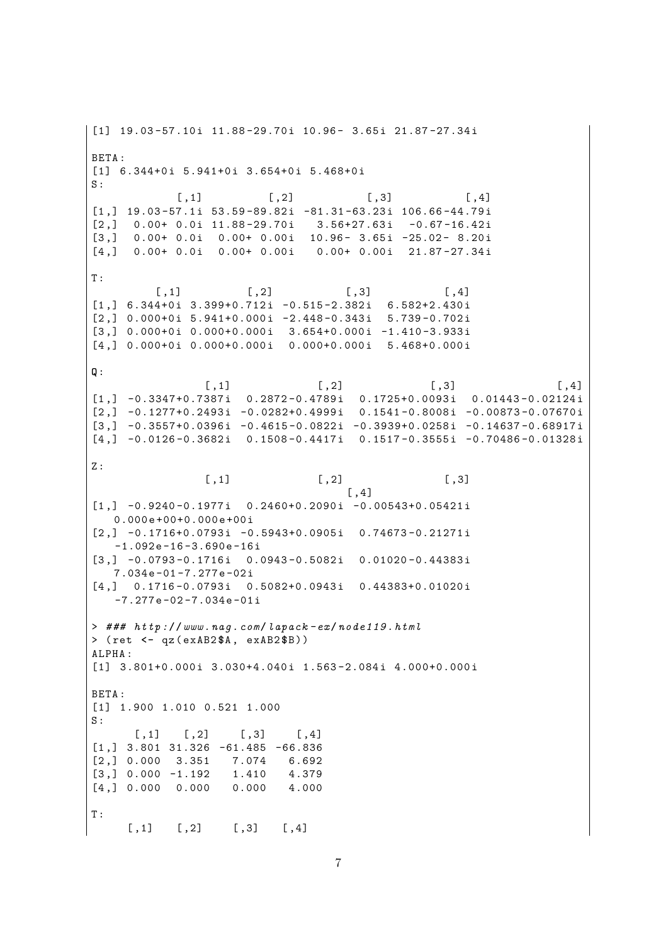[1] 19.03-57.10i 11.88-29.70i 10.96- 3.65i 21.87-27.34i BETA: [1] 6.344+0i 5.941+0i 3.654+0i 5.468+0i  $S:$  $[$ , 1]  $\left[ 1, 2 \right]$  $[, 3]$  $[,4]$  $\begin{bmatrix}1\,,\end{bmatrix}\ \ \, 19\,.\,03\,-\,57\,.\,1\,i\ \ \, 53\,.\,59\,-\,89\,.\,82\,i\ \ \, -81\,.\,31\,-\,63\,.\,23\,i\ \ \, 106\,.\,66\,-\,44\,.\,79\,i$ 0.00+ 0.0i 11.88-29.70i 3.56+27.63i -0.67-16.42i  $\left[2, \right]$  $[3,]$  0.00+ 0.0i 0.00+ 0.00i 10.96- 3.65i -25.02- 8.20i  $0.00+0.0i$   $0.00+0.00i$  $0.00+0.00i$  21.87-27.34i  $[4.1]$  $T:$  $[$ , 1]  $\left[ 1, 2 \right]$  $[0,3]$  $[0.4]$  $[1, 1, 6.344+0i, 3.399+0.712i, -0.515-2.382i, 6.582+2.430i$  $[2.1 \ 0.000+0i \ 5.941+0.000i \ -2.448-0.343i \ 5.739-0.702i$  $[3,]$  0.000+0i 0.000+0.000i 3.654+0.000i -1.410-3.933i  $[4,]$  0.000+0i 0.000+0.000i 0.000+0.000i 5.468+0.000i  $Q:$  $[,1]$  $[, 2]$  $[, 3]$  $[,4]$  $[1,]$  -0.3347+0.7387i 0.2872-0.4789i 0.1725+0.0093i 0.01443-0.02124i  $[2, 1 -0.1277 + 0.2493i -0.0282 + 0.4999i -0.1541 - 0.8008i -0.00873 - 0.07670i$  $[3,]$  -0.3557+0.0396i -0.4615-0.0822i -0.3939+0.0258i -0.14637-0.68917i  $[4,] -0.0126 - 0.3682i$  0.1508-0.4417i 0.1517-0.3555i -0.70486-0.01328i  $Z:$  $\lceil .1 \rceil$  $\lceil .2 \rceil$  $\lceil .3 \rceil$  $[,4]$  $[1,] -0.9240 -0.1977i$  0.2460+0.2090i -0.00543+0.05421i  $0.000e+00+0.000e+00i$  $[2,] -0.1716+0.0793i -0.5943+0.0905i 0.74673-0.21271i$  $-1.092e-16-3.690e-16i$  $\begin{bmatrix} 3 \\ 1 \end{bmatrix}$  -0.0793-0.1716i 0.0943-0.5082i 0.01020-0.44383i  $7.034e-01-7.277e-02i$  $[4,]$  0.1716-0.0793i 0.5082+0.0943i 0.44383+0.01020i  $-7.277e-02-7.034e-01i$ > ### http://www.nag.com/lapack-ex/node119.html  $>$  (ret  $<-$  qz(exAB2\$A, exAB2\$B)) ALPHA: [1] 3.801+0.000i 3.030+4.040i 1.563-2.084i 4.000+0.000i BETA:  $[1]$  1.900 1.010 0.521 1.000  $S \cdot$  $\lceil .2 \rceil$  $\lceil .3 \rceil$  $\lceil .4 \rceil$  $[$ , 1]  $[1,]$  3.801 31.326 -61.485 -66.836  $[2.1 0.000]$ 7.074 3.351 6.692  $[3,] 0.000 -1.192$ 1.410 4.379  $[4,] 0.000 0.000$  $0.000$ 4.000  $T$ :  $[0,1]$  $\left[ 1, 2 \right]$  $[0,3]$  $[,4]$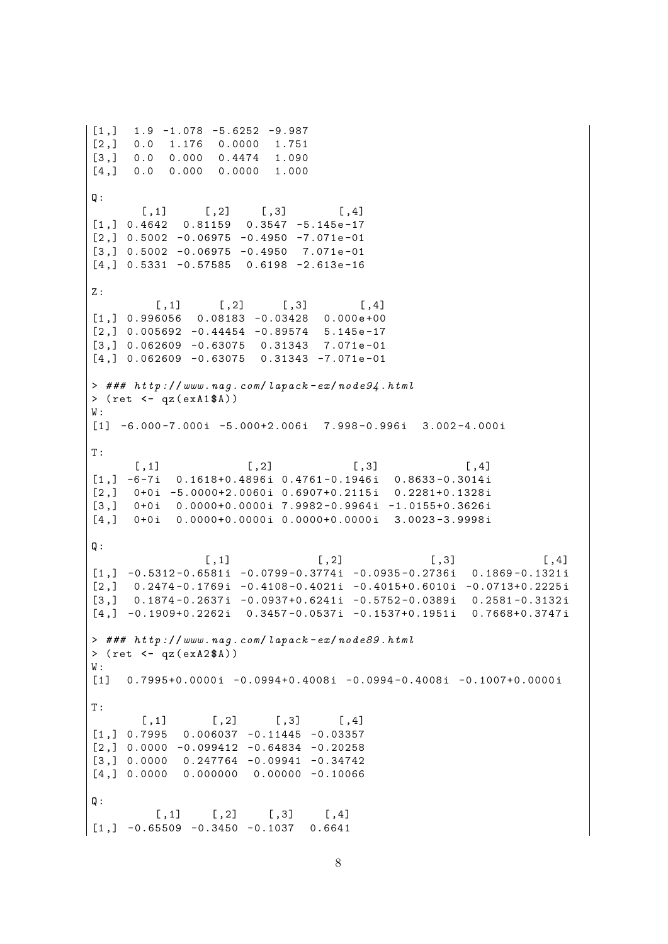```
[1,]1.9 - 1.078 - 5.6252 - 9.987[2,]0.01.176
                    0.00001.751
[3,]0.0 \quad 0.0000.44741.090
      0.0 0.000 0.0000[4,]1.000
Q:[, 1][, 2][, 3][,4][1,] 0.4642 0.81159 0.3547 -5.145e-17[2,] 0.5002 -0.06975 -0.4950 -7.071e-01
[3,] 0.5002 -0.06975 -0.4950 7.071e-01
\begin{bmatrix} 4 \\ 1 \end{bmatrix} 0.5331 -0.57585 0.6198 -2.613e-16
Z:[,4][, 1]
                     [, 2]
                               [, 3]
[1,] 0.996056 0.08183 -0.03428 0.000e+00
[2,] 0.005692 -0.44454 -0.89574 5.145e-17
[3,] 0.062609 -0.63075 0.31343 7.071e-01
[4,] 0.062609 -0.63075 0.31343 -7.071e-01
> ### http://www.nag.com/lapack-ex/node94.html
> (ret <- qz(exA1$A))
W:[1] -6.000-7.000i -5.000+2.006i 7.998-0.996i 3.002-4.000i
\mathtt{T} :
       [, 1][, 2][, 3][,4][1,] -6-7i 0.1618+0.4896i 0.4761-0.1946i 0.8633-0.3014i
     0+0i -5.0000+2.0060i 0.6907+0.2115i 0.2281+0.1328i
[2,]\left[3, \right]0+0i 0.0000+0.0000i 7.9982-0.9964i -1.0155+0.3626i
\begin{bmatrix} 4 \\ 1 \end{bmatrix} 0+0i 0.0000+0.0000i 0.0000+0.0000i 3.0023-3.9998i
Q:[, 1]
                                     [, 2]
                                                       [0,3]\lceil .4 \rceil[1,] -0.5312 - 0.6581i -0.0799 - 0.3774i -0.0935 - 0.2736i - 0.1869 - 0.1321i\left[2, \right]0.2474-0.1769i -0.4108-0.4021i -0.4015+0.6010i -0.0713+0.2225i\left[3, \right]0.1874 - 0.2637i - 0.0937 + 0.6241i - 0.5752 - 0.0389i - 0.2581 - 0.3132i[4,] -0.1909+0.2262i 0.3457-0.0537i -0.1537+0.1951i 0.7668+0.3747i
> ### http://www.nag.com/lapack-ex/node89.html
> (ret <- qz(exA2$A))
W:[1] 0.7995+0.0000i -0.0994+0.4008i -0.0994-0.4008i -0.1007+0.0000i
T:
        \lceil .1 \rceil\lceil .2 \rceil\lceil .3 \rceil\lceil .4 \rceil\begin{bmatrix} 1 \\ 1 \end{bmatrix} 0.7995 0.006037 -0.11445 -0.03357
\lceil 2.1 \rceil 0.0000 -0.099412 -0.64834 -0.20258
[3,] 0.0000 0.247764 -0.09941 -0.34742[4,] 0.0000 0.000000 0.00000 -0.10066
Q:[, 1]\left[ ,2\right][, 3][,4][1,] -0.65509 -0.3450 -0.1037 0.6641
```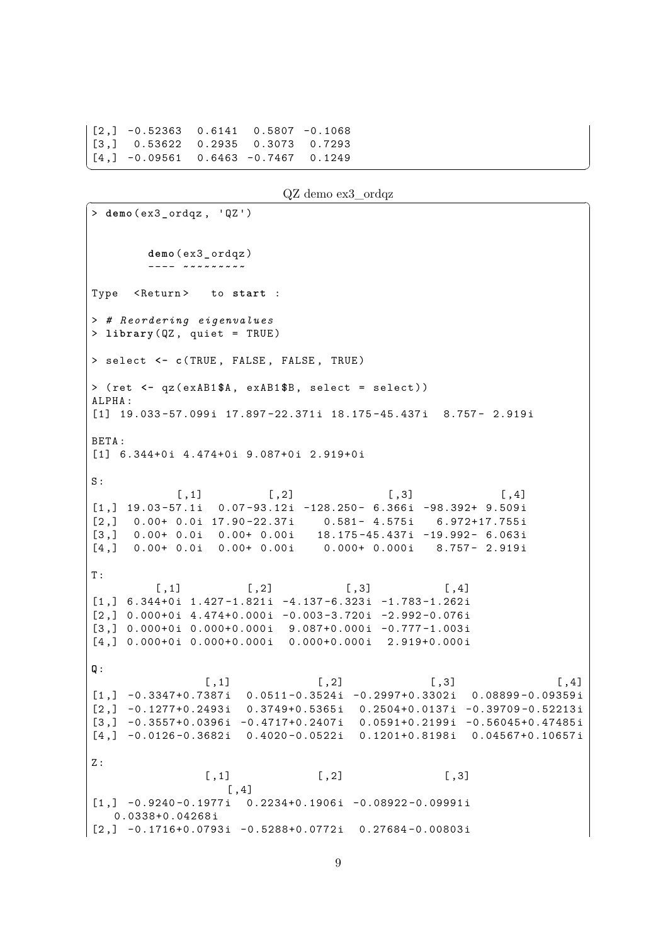$[2,] -0.52363$  0.6141 0.5807 -0.1068  $0.53622$  0.2935 0.3073  $\left[3, \right]$ 0.7293  $[4,] -0.09561$  0.6463 -0.7467  $0.1249$ 

```
QZ demo ex3 ordqz
```
 $>$  demo(ex3\_ordqz, 'QZ')  $demo(ex3  $ordqz)$$ Type <Return> to start : > # Reordering eigenvalues > library  $(QZ,$  quiet = TRUE) > select <- c(TRUE, FALSE, FALSE, TRUE) > (ret <- qz(exAB1\$A, exAB1\$B, select = select))  $AT.PHA$ :  $[1]$  19.033-57.099i 17.897-22.371i 18.175-45.437i 8.757- 2.919i BETA: [1] 6.344+0i 4.474+0i 9.087+0i 2.919+0i  $S:$  $[, 1]$  $[, 2]$  $[, 3]$  $[,4]$  $[1,]$  19.03-57.1i 0.07-93.12i -128.250- 6.366i -98.392+ 9.509i  $0.00+0.0i$  17.90-22.37i  $0.581 - 4.575i$  6.972+17.755i  $[2,]$  $0.00+0.0i$  0.00+ 0.00i 18.175-45.437i -19.992- 6.063i  $\lceil 3 \cdot \rceil$  $[4, 1, 0.00 + 0.01, 0.00 + 0.001]$  $0.000 + 0.000i$  8.757- 2.919i  $T$ :  $\lbrack 1, 2 \rbrack$  $[$ , 3]  $[$ , 1]  $[,4]$  $[1,]$  6.344+0i 1.427-1.821i -4.137-6.323i -1.783-1.262i  $[2,]$  0.000+0i 4.474+0.000i -0.003-3.720i -2.992-0.076i  $[3,]$  0.000+0i 0.000+0.000i 9.087+0.000i -0.777-1.003i  $[4,]$  0.000+0i 0.000+0.000i 0.000+0.000i 2.919+0.000i  $Q:$  $[$ , 1]  $\left[ 1, 2 \right]$  $[0,3]$  $[,4]$  $\begin{bmatrix} 1 \\ 1 \end{bmatrix}$  -0.3347+0.7387i 0.0511-0.3524i -0.2997+0.3302i 0.08899-0.09359i  $[2,]$  -0.1277+0.2493i 0.3749+0.5365i 0.2504+0.0137i -0.39709-0.52213i  $[3,]$  -0.3557+0.0396i -0.4717+0.2407i 0.0591+0.2199i -0.56045+0.47485i  $[4,]$  -0.0126-0.3682i 0.4020-0.0522i 0.1201+0.8198i 0.04567+0.10657i  $7:$  $[, 2]$  $[, 3]$  $[, 1]$  $[, 4]$  $\begin{bmatrix} 1 & 1 & -0.9240 - 0.1977i & 0.2234 + 0.1906i & -0.08922 - 0.09991i \end{bmatrix}$  $0.0338 + 0.04268i$  $[2,] -0.1716+0.0793i -0.5288+0.0772i 0.27684-0.00803i$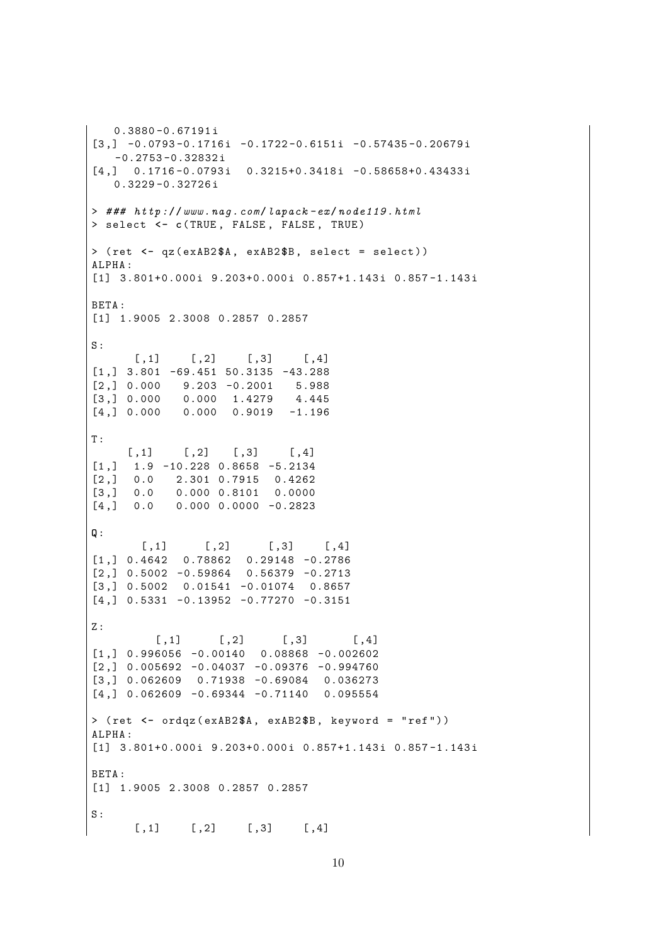```
0.3880 -0.67191 i
[3,] -0.0793 -0.1716i -0.1722 -0.6151i -0.57435 -0.20679i-0.2753 - 0.32832i[4,] 0.1716-0.0793i 0.3215+0.3418i -0.58658+0.43433i
   0.3229 -0.32726 i
> ### http://www.nag.com/lapack -ex/ node119 .html
> select <- c( TRUE , FALSE , FALSE , TRUE )
> ( ret <- qz ( exAB2 $A , exAB2 $B , select = select ) )
ALPHA :
[1] 3.801+0.000i 9.203+0.000i 0.857+1.143i 0.857-1.143i
BETA :
[1] 1.9005 2.3008 0.2857 0.2857
S:[ , 1] [ , 2] [ , 3] [ , 4][1,] 3.801 -69.451 50.3135 -43.288
[2,] 0.000 9.203 -0.2001 5.988[3 ,] 0.000 0.000 1.4279 4.445
[4,] 0.000 0.000 0.9019 -1.196T :
     [ ,1] [ ,2] [ ,3] [ ,4][1 ,] 1.9 -10.228 0.8658 -5.2134
[2 ,] 0.0 2.301 0.7915 0.4262
[3 ,] 0.0 0.000 0.8101 0.0000
[4, 1 \ 0.0 \ 0.000 \ 0.0000 \ -0.2823]Q:
       [ , 1] [ , 2] [ , 3] [ , 4][1 ,] 0.4642 0.78862 0.29148 -0.2786
[2 ,] 0.5002 -0.59864 0.56379 -0.2713
[3 ,] 0.5002 0.01541 -0.01074 0.8657
[4,] 0.5331 -0.13952 -0.77270 -0.3151
Z:[ , 1] [ , 2] [ , 3] [ , 4][1 ,] 0.996056 -0.00140 0.08868 -0.002602
[2,] 0.005692 -0.04037 -0.09376 -0.994760
[3 ,] 0.062609 0.71938 -0.69084 0.036273
[4,] 0.062609 -0.69344 -0.71140 0.095554
> ( ret <- ordqz ( exAB2 $A , exAB2 $B , keyword = " ref " ) )
ALPHA :
[1] 3.801+0.000i 9.203+0.000i 0.857+1.143i 0.857-1.143i
BETA :
[1] 1.9005 2.3008 0.2857 0.2857
S:[ , 1] [ , 2] [ , 3] [ , 4]
```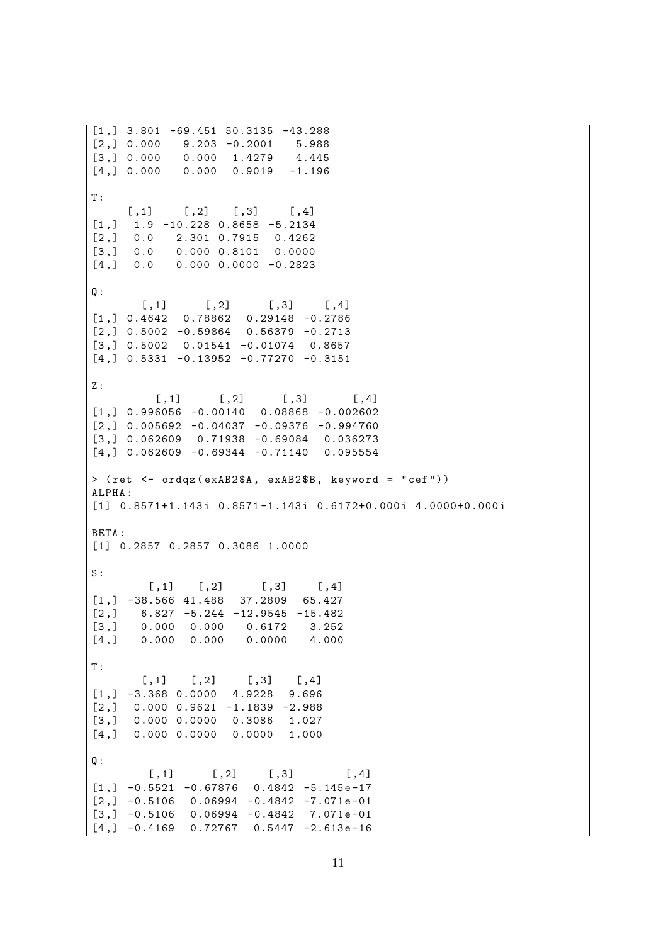$[1,]$  3.801 -69.451 50.3135 -43.288  $[2,] 0.000$  $9.203 - 0.2001$ 5.988  $[3, 3 0.000]$  $0.000 1.4279$ 4.445  $[4,] 0.000 0.000 0.9019$  $-1.196$  $\mathbf T$  :  $[, 3]$  $[, 1]$  $\lbrack ,2]$  $[, 4]$  $[1,]$  $1.9 - 10.228$  0.8658 -5.2134 2.301 0.7915 0.4262  $[2,]$  $0.0$  $0.00000.810100.0000$  $\left[3, \right]$  $0.0$  $0.000$   $0.0000$   $-0.2823$  $[4,1]$  $0.0$  $Q:$  $[$ , 1]  $\lbrack 1,2\rbrack$  $[, 3]$  $[ \, . \, 4]$  $[1,]$  0.4642 0.78862 0.29148 -0.2786  $[2,]$  0.5002 -0.59864 0.56379 -0.2713  $[3,]$  0.5002 0.01541 -0.01074 0.8657  $[4,]$  0.5331 -0.13952 -0.77270 -0.3151  $Z:$  $[, 1]$  $[, 2]$  $[, 3]$  $[$ , 4]  $[1,]$  0.996056 -0.00140 0.08868 -0.002602  $[2,]$  0.005692 -0.04037 -0.09376 -0.994760  $[3,]$  0.062609 0.71938 -0.69084 0.036273  $[4,]$  0.062609 -0.69344 -0.71140 0.095554 > (ret <- ordqz (exAB2\$A, exAB2\$B, keyword = "cef")) ALPHA:  $\lceil 1 \rceil$  0.8571+1.143i 0.8571-1.143i 0.6172+0.000i 4.0000+0.000i BETA:  $[1]$  0.2857 0.2857 0.3086 1.0000  $S:$  $[,4]$  $\lbrack 2 \rbrack$  $[, 3]$  $[, 1]$  $[1,]$  -38.566 41.488 37.2809 65.427  $6.827 - 5.244 - 12.9545 - 15.482$  $\left[2, \right]$  $[3,]$  $0.000000000$ 0.6172 3.252  $0.000 0.000$  $[4,]$  $0.0000$ 4.000  $\mathtt{T}$  :  $[, 2]$  $[, 3]$  $[,4]$  $[, 1]$  $[1,]$  -3.368 0.0000 4.9228 9.696  $[2,]$  $0.000$   $0.9621$   $-1.1839$   $-2.988$  $\lceil 3 \cdot \rceil$ 0.000 0.0000 0.3086 1.027  $[4.1 \t 0.000 \t 0.0000 \t 0.0000 \t 1.000]$  $\mathbf{0}$ :  $[,1]$  $[, 2]$  $[, 3]$  $[0.4]$  $[1,] -0.5521 -0.67876$  0.4842 -5.145e-17  $[2,] -0.5106$  0.06994 -0.4842 -7.071e-01  $[3,] -0.5106$  0.06994 -0.4842 7.071e-01  $[4,]$  -0.4169 0.72767 0.5447 -2.613e-16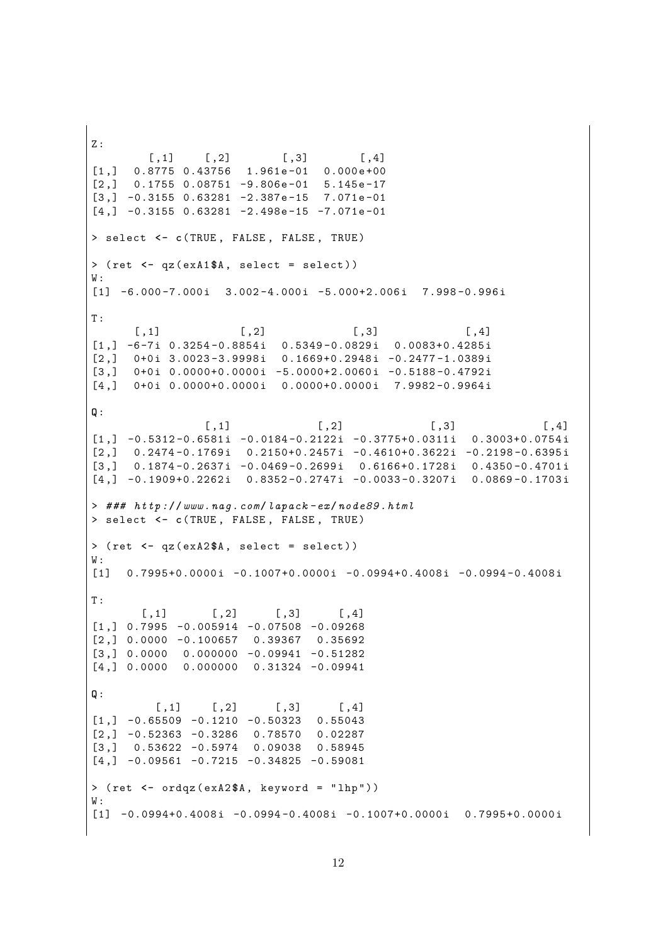$\overline{z}$ :  $[, 1]$  $[, 2]$  $[, 3]$  $[,4]$  $0.8775$  0.43756 1.961e-01 0.000e+00  $[1,]$  $[2,]$  $0.1755$  0.08751 -9.806e-01 5.145e-17  $[3,] -0.3155 0.63281 -2.387e-15 7.071e-01$  $[4,] -0.3155 0.63281 -2.498e-15 -7.071e-01$ > select <- c(TRUE, FALSE, FALSE, TRUE)  $>$  (ret  $\leq -$  qz(exA1\$A, select = select))  $\mathtt{W}$  :  $[1]$  -6.000-7.000i 3.002-4.000i -5.000+2.006i 7.998-0.996i  $T:$  $[, 2]$  $[, 3]$  $[, 1]$  $[, 4]$  $[1,]$  -6-7i 0.3254-0.8854i 0.5349-0.0829i 0.0083+0.4285i  $0+0i$  3.0023-3.9998i 0.1669+0.2948i -0.2477-1.0389i  $\left[2, \right]$  $0+0i$  0.0000+0.0000i -5.0000+2.0060i -0.5188-0.4792i  $\left[3, \right]$  $[4,]$ 0+0i 0.0000+0.0000i 0.0000+0.0000i 7.9982-0.9964i  $Q:$  $[,1]$  $[, 2]$  $[, 3]$  $[,4]$  $[1,] -0.5312 - 0.6581i -0.0184 - 0.2122i -0.3775 + 0.0311i$  $0.3003+0.0754i$  $[2,]$  $0.2474 - 0.1769i$   $0.2150 + 0.2457i$   $-0.4610 + 0.3622i$   $-0.2198 - 0.6395i$  $\left[3, \right]$  $0.1874 - 0.2637i - 0.0469 - 0.2699i - 0.6166 + 0.1728i - 0.4350 - 0.4701i$  $[4,]$  -0.1909+0.2262i 0.8352-0.2747i -0.0033-0.3207i 0.0869-0.1703i  $>$  ###  $http://www.naq.com/lapack-ex/node89.html$ > select <- c(TRUE, FALSE, FALSE, TRUE)  $>$  (ret  $<-$  qz(exA2\$A, select = select))  $W:$  $\begin{bmatrix} 11 & 0.7995 + 0.0000i & -0.1007 + 0.0000i & -0.0994 + 0.4008i & -0.0994 - 0.4008i \end{bmatrix}$  $T$ :  $[, 2]$  $[, 3]$  $\left[ 1,1\right]$  $[0.4]$  $[1,]$  0.7995 -0.005914 -0.07508 -0.09268  $[2,] 0.0000 -0.100657$ 0.39367 0.35692  $[3,]$  0.0000 0.000000 -0.09941 -0.51282  $[4,]$  0.0000 0.000000 0.31324 -0.09941  $Q:$  $[, 1]$  $\lbrack 2 \rbrack$  $[, 3]$  $[,4]$  $\begin{bmatrix} 1 \\ 1 \end{bmatrix}$  -0.65509 -0.1210 -0.50323 0.55043  $\lceil 2.1 - 0.52363 - 0.3286 \quad 0.78570 \rceil$ 0.02287  $\left[3, \right]$  $0.53622 - 0.5974$ 0.09038 0.58945  $\lceil 4 \cdot 7 \rceil$  -0.09561 -0.7215 -0.34825 -0.59081 > (ret <- ordqz (exA2\$A, keyword = "lhp"))  $W:$  $[1]$  -0.0994+0.4008i -0.0994-0.4008i -0.1007+0.0000i 0.7995+0.0000i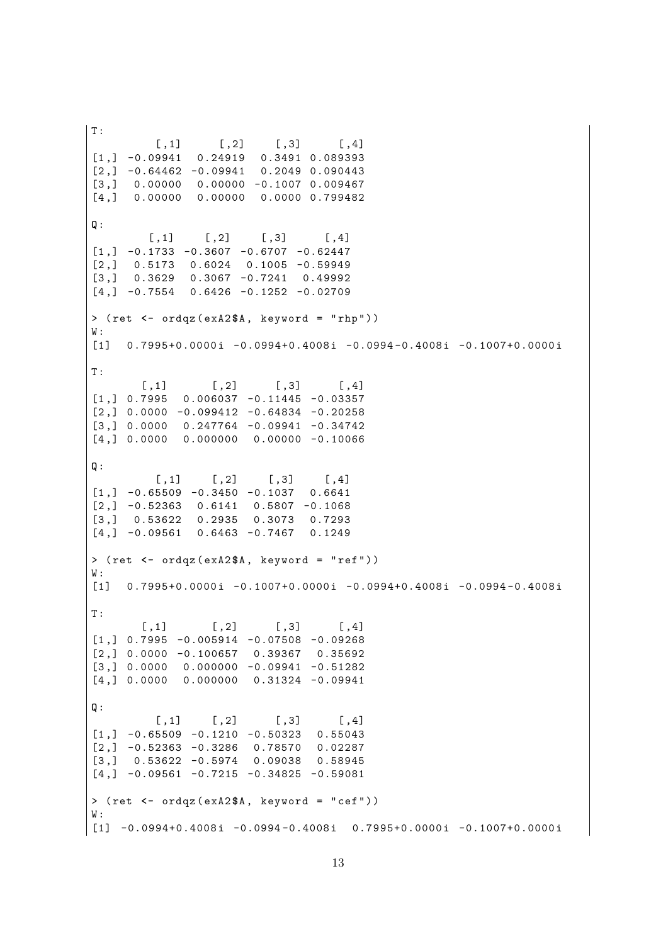T :  $[ , 1]$   $[ , 2]$   $[ , 3]$   $[ , 4]$ [1 ,] -0.09941 0.24919 0.3491 0.089393  $[2,] -0.64462 -0.09941 0.2049 0.090443$  $[3,]$  0.00000 0.00000 -0.1007 0.009467 [4 ,] 0.00000 0.00000 0.0000 0.799482 **Q**:  $[ ,1]$   $[ ,2]$   $[ ,3]$   $[ ,4]$  $[1,] -0.1733 -0.3607 -0.6707 -0.62447$  $[2,]$  0.5173 0.6024 0.1005 -0.59949 [3 ,] 0.3629 0.3067 -0.7241 0.49992  $[4,] -0.7554$  0.6426 -0.1252 -0.02709 > ( ret **<-** ordqz ( exA2 **\$**A , keyword = " rhp " ) ) W :  $[1]$  0.7995+0.0000i -0.0994+0.4008i -0.0994-0.4008i -0.1007+0.0000i T :  $[ , 1]$   $[ , 2]$   $[ , 3]$   $[ , 4]$  $[1,] 0.7995 0.006037 -0.11445 -0.03357$  $\lceil 2 \cdot \rceil$  0.0000 -0.099412 -0.64834 -0.20258  $[3,] 0.0000 0.247764 -0.09941 -0.34742$  $[4,] 0.0000 0.000000 0.00000 -0.10066$ **Q**:  $[ ,1]$   $[ ,2]$   $[ ,3]$   $[ ,4]$  $[1,] -0.65509 -0.3450 -0.1037 0.6641$  $[2,] -0.52363$  0.6141 0.5807 -0.1068 [3 ,] 0.53622 0.2935 0.3073 0.7293  $[4,] -0.09561$  0.6463 -0.7467 0.1249 > ( ret **<-** ordqz ( exA2 **\$**A , keyword = " ref " ) )  $W:$  $[1]$  0.7995+0.0000i -0.1007+0.0000i -0.0994+0.4008i -0.0994-0.4008i T :  $[ , 1]$   $[ , 2]$   $[ , 3]$   $[ , 4]$  $[1,] 0.7995 -0.005914 -0.07508 -0.09268$  $[2,]$  0.0000 -0.100657 0.39367 0.35692  $[3,] 0.0000 0.000000 -0.09941 -0.51282$  $[4,] 0.0000 0.000000 0.31324 -0.09941$ **Q**:  $\lceil$ , 1]  $\lceil$ , 2]  $\lceil$ , 3]  $\lceil$ , 4]  $\begin{bmatrix} 1 \\ 1 \end{bmatrix}$  -0.65509 -0.1210 -0.50323 0.55043  $[2,] -0.52363 -0.3286$  0.78570 0.02287 [3 ,] 0.53622 -0.5974 0.09038 0.58945  $[4,] -0.09561 -0.7215 -0.34825 -0.59081$ > ( ret **<-** ordqz ( exA2 **\$**A , keyword = " cef " ) ) W :  $\begin{bmatrix} 1 & -0.0994 + 0.4008 i & -0.0994 - 0.4008 i & 0.7995 + 0.0000 i & -0.1007 + 0.0000 i \end{bmatrix}$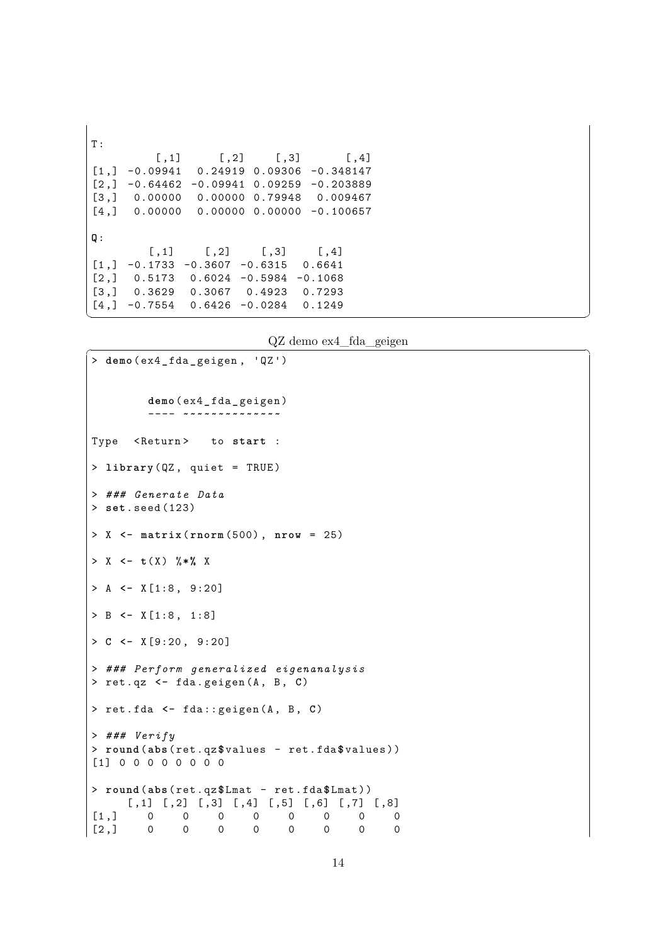$T:$  $[ , 1]$   $[ , 2]$   $[ , 3]$   $[ , 4]$  $[1,] -0.09941$  0.24919 0.09306 -0.348147  $[2,] -0.64462 -0.09941 0.09259 -0.203889$ [3 ,] 0.00000 0.00000 0.79948 0.009467  $[4,]$  0.00000 0.00000 0.00000 -0.100657 **Q**:  $[ , 1]$   $[ , 2]$   $[ , 3]$   $[ , 4]$  $[1,] -0.1733 -0.3607 -0.6315 0.6641$  $[2,]$  0.5173 0.6024 -0.5984 -0.1068 [3 ,] 0.3629 0.3067 0.4923 0.7293  $[4,] -0.7554$  0.6426 -0.0284 0.1249  $\left($   $\frac{1}{\sqrt{2}}\right)$   $\left($   $\frac{1}{\sqrt{2}}\right)$   $\left($   $\frac{1}{\sqrt{2}}\right)$   $\left($   $\frac{1}{\sqrt{2}}\right)$   $\left($   $\frac{1}{\sqrt{2}}\right)$   $\left($   $\frac{1}{\sqrt{2}}\right)$   $\left($   $\frac{1}{\sqrt{2}}\right)$   $\left($   $\frac{1}{\sqrt{2}}\right)$   $\left($   $\frac{1}{\sqrt{2}}\right)$   $\left($   $\frac{1}{\sqrt{2}}\right)$ 

 $QZ$  demo ex $4$  fda geigen

```
> demo ( ex4_ fda_geigen , 'QZ ')
        demo ( ex4_ fda _ geigen )
        ---- ~~~~~~~~~~~~~~
Type <Return> to start :
> library ( QZ , quiet = TRUE )
> ### Generate Data
> set . seed (123)
> X <- matrix ( rnorm (500) , nrow = 25)
> X <- t( X ) %*% X
> A <- X [1:8 , 9:20]
> B <- X [1:8 , 1:8]
> C <- X [9:20 , 9:20]
> ### Perform generalized eigenanalysis
> ret . qz <- fda . geigen (A , B , C)
> ret . fda <- fda :: geigen (A , B , C)
> ### Verify
> round (abs ( ret . qz$ values - ret . fda $ values ) )
[1] 0 0 0 0 0 0 0 0
> round (abs ( ret . qz$ Lmat - ret . fda $ Lmat ) )
    [ ,1] [ ,2] [ ,3] [ ,4] [ ,5] [ ,6] [ ,7] [ ,8][1,] 0 0 0 0 0 0 0 0[2,] 0 0 0 0 0 0 0 0
```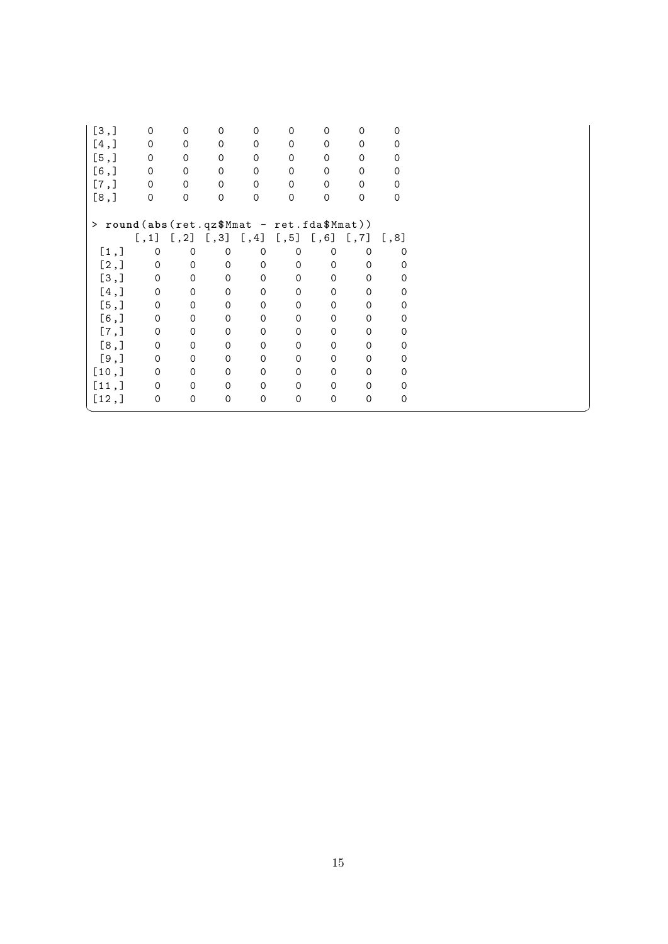| [3,]                                       |       | $\mathbf 0$  | 0                   | 0                         | 0                   | 0                    | $\Omega$            | 0                   | 0        |
|--------------------------------------------|-------|--------------|---------------------|---------------------------|---------------------|----------------------|---------------------|---------------------|----------|
|                                            | [4,]  | $\mathbf 0$  | $\mathbf 0$         | $\Omega$                  | $\mathbf 0$         | $\Omega$             | $\mathbf 0$         | $\mathbf 0$         | 0        |
| [5,]                                       |       | $\mathbf 0$  | 0                   | 0                         | $\mathbf 0$         | $\mathbf 0$          | $\mathbf 0$         | $\mathbf 0$         | 0        |
|                                            | [6,   | $\mathbf 0$  | $\mathbf 0$         | $\mathbf 0$               | $\mathbf 0$         | $\mathbf 0$          | $\Omega$            | $\mathbf 0$         | 0        |
| [7,]                                       |       | $\mathsf{O}$ | $\mathsf{O}\xspace$ | $\mathbf 0$               | $\mathsf{O}\xspace$ | $\mathbf 0$          | $\mathbf 0$         | 0                   | 0        |
| [8,]                                       |       | $\mathbf 0$  | $\mathsf{O}$        | $\mathsf{O}\xspace$       | $\mathbf 0$         | $\mathsf{O}\xspace$  | $\Omega$            | $\mathsf{O}\xspace$ | $\Omega$ |
|                                            |       |              |                     |                           |                     |                      |                     |                     |          |
| > round(abs(ret.qz\$Mmat - ret.fda\$Mmat)) |       |              |                     |                           |                     |                      |                     |                     |          |
|                                            |       |              |                     | $[1,1]$ $[2]$ $[3]$ $[4]$ |                     | $[,5]$ $[,6]$ $[,7]$ |                     |                     | [,8]     |
|                                            | [1,]  | $\mathbf 0$  | $\mathbf 0$         | 0                         | $\mathbf 0$         | 0                    | $\mathbf 0$         | $\mathbf 0$         | 0        |
|                                            | [2,]  | $\mathbf 0$  | $\Omega$            | $\mathsf{O}$              | $\Omega$            | $\mathbf 0$          | $\Omega$            | $\Omega$            | $\Omega$ |
|                                            | [3,]  | 0            | 0                   | $\mathsf{O}$              | $\mathbf 0$         | $\mathbf 0$          | $\mathbf 0$         | $\mathbf 0$         | 0        |
|                                            | [4,]  | $\mathbf 0$  | $\mathbf 0$         | $\mathbf 0$               | $\mathbf 0$         | $\mathbf 0$          | $\mathbf 0$         | $\mathbf 0$         | 0        |
|                                            | [5,]  | 0            | $\mathbf 0$         | 0                         | $\mathbf 0$         | $\mathbf 0$          | $\mathbf 0$         | $\mathbf 0$         | 0        |
|                                            | [6,   | 0            | $\mathbf 0$         | $\mathsf{O}\xspace$       | 0                   | $\mathsf{O}\xspace$  | $\mathsf{O}$        | $\Omega$            | 0        |
|                                            | [7,]  | 0            | 0                   | $\mathsf{O}\xspace$       | 0                   | $\mathbf 0$          | $\mathsf{O}$        | $\mathbf 0$         | 0        |
|                                            | [8,]  | $\mathbf 0$  | $\mathbf 0$         | $\mathbf 0$               | $\mathbf 0$         | $\mathbf 0$          | $\mathbf 0$         | 0                   | 0        |
|                                            | [9,   | $\mathbf 0$  | $\mathbf 0$         | $\mathbf 0$               | $\mathbf 0$         | $\Omega$             | $\mathbf 0$         | $\Omega$            | $\Omega$ |
|                                            | [10,  | 0            | $\mathbf 0$         | $\mathbf 0$               | $\mathbf 0$         | $\mathbf 0$          | $\mathbf 0$         | $\mathbf 0$         | 0        |
|                                            | [11,] | $\mathbf 0$  | $\mathbf 0$         | $\mathbf 0$               | $\mathbf 0$         | $\Omega$             | $\mathbf 0$         | $\Omega$            | $\Omega$ |
|                                            | [12,] | 0            | 0                   | $\mathsf{O}\xspace$       | $\mathsf{O}\xspace$ | $\mathbf 0$          | $\mathsf{O}\xspace$ | $\mathbf 0$         | 0        |
|                                            |       |              |                     |                           |                     |                      |                     |                     |          |